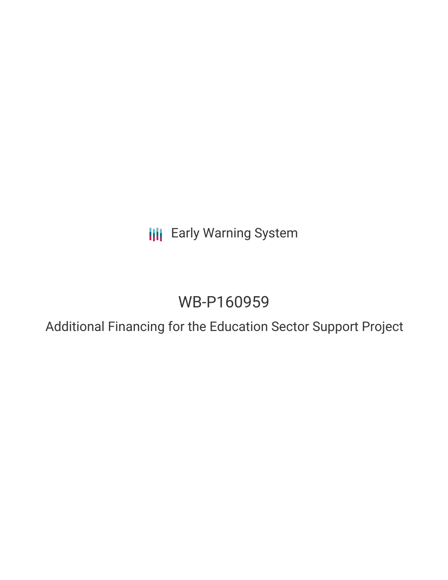**III** Early Warning System

# WB-P160959

Additional Financing for the Education Sector Support Project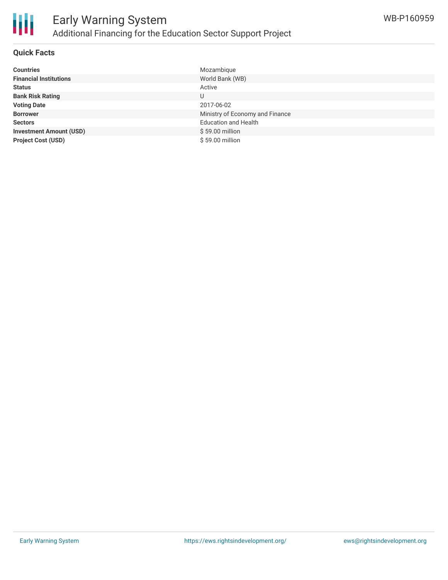

### **Quick Facts**

| <b>Countries</b>               | Mozambique                      |
|--------------------------------|---------------------------------|
| <b>Financial Institutions</b>  | World Bank (WB)                 |
| <b>Status</b>                  | Active                          |
| <b>Bank Risk Rating</b>        | U                               |
| <b>Voting Date</b>             | 2017-06-02                      |
| <b>Borrower</b>                | Ministry of Economy and Finance |
| <b>Sectors</b>                 | <b>Education and Health</b>     |
| <b>Investment Amount (USD)</b> | \$59.00 million                 |
| <b>Project Cost (USD)</b>      | \$59.00 million                 |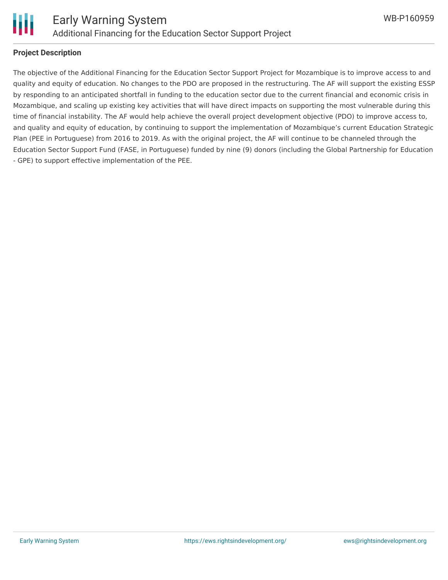

#### **Project Description**

The objective of the Additional Financing for the Education Sector Support Project for Mozambique is to improve access to and quality and equity of education. No changes to the PDO are proposed in the restructuring. The AF will support the existing ESSP by responding to an anticipated shortfall in funding to the education sector due to the current financial and economic crisis in Mozambique, and scaling up existing key activities that will have direct impacts on supporting the most vulnerable during this time of financial instability. The AF would help achieve the overall project development objective (PDO) to improve access to, and quality and equity of education, by continuing to support the implementation of Mozambique's current Education Strategic Plan (PEE in Portuguese) from 2016 to 2019. As with the original project, the AF will continue to be channeled through the Education Sector Support Fund (FASE, in Portuguese) funded by nine (9) donors (including the Global Partnership for Education - GPE) to support effective implementation of the PEE.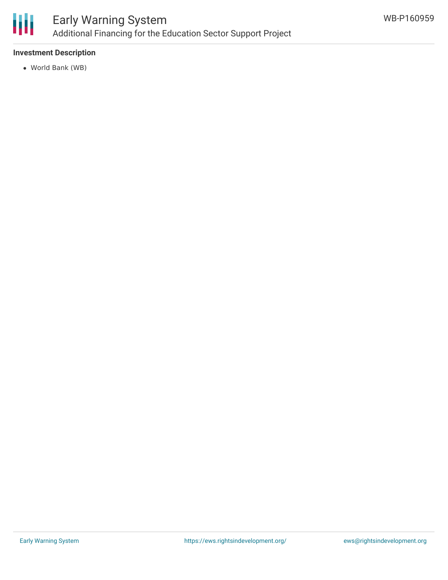

# **Investment Description**

World Bank (WB)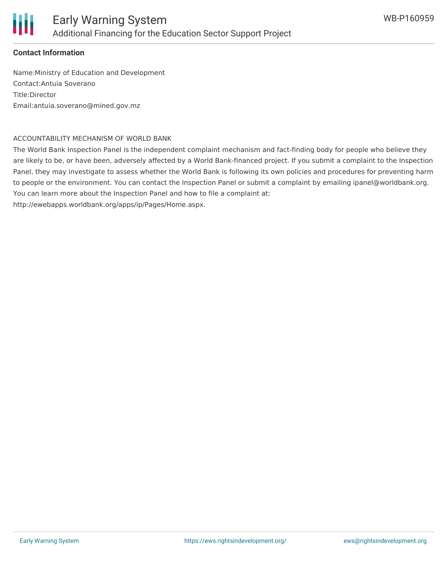

## **Contact Information**

Name:Ministry of Education and Development Contact:Antuia Soverano Title:Director Email:antuia.soverano@mined.gov.mz

#### ACCOUNTABILITY MECHANISM OF WORLD BANK

The World Bank Inspection Panel is the independent complaint mechanism and fact-finding body for people who believe they are likely to be, or have been, adversely affected by a World Bank-financed project. If you submit a complaint to the Inspection Panel, they may investigate to assess whether the World Bank is following its own policies and procedures for preventing harm to people or the environment. You can contact the Inspection Panel or submit a complaint by emailing ipanel@worldbank.org. You can learn more about the Inspection Panel and how to file a complaint at:

http://ewebapps.worldbank.org/apps/ip/Pages/Home.aspx.